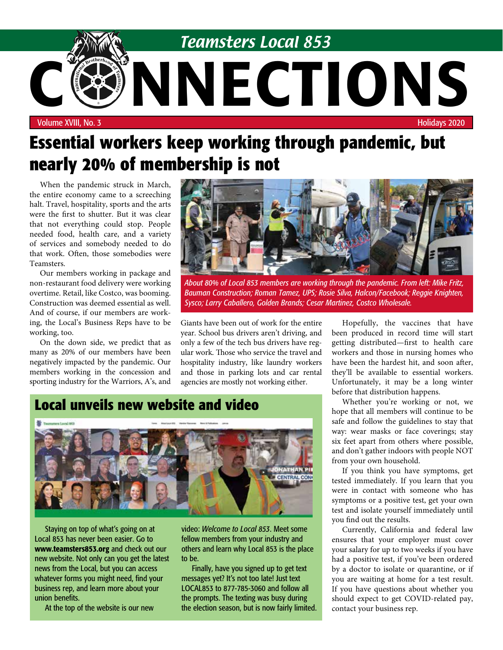

# **Essential workers keep working through pandemic, but nearly 20% of membership is not**

When the pandemic struck in March, the entire economy came to a screeching halt. Travel, hospitality, sports and the arts were the first to shutter. But it was clear that not everything could stop. People needed food, health care, and a variety of services and somebody needed to do that work. Often, those somebodies were Teamsters.

Our members working in package and non-restaurant food delivery were working overtime. Retail, like Costco, was booming. Construction was deemed essential as well. And of course, if our members are working, the Local's Business Reps have to be working, too.

On the down side, we predict that as many as 20% of our members have been negatively impacted by the pandemic. Our members working in the concession and sporting industry for the Warriors, A's, and



*About 80% of Local 853 members are working through the pandemic. From left: Mike Fritz, Bauman Construction; Roman Tamez, UPS; Rosie Silva, Halcon/Facebook; Reggie Knighten, Sysco; Larry Caballero, Golden Brands; Cesar Martinez, Costco Wholesale.*

Giants have been out of work for the entire year. School bus drivers aren't driving, and only a few of the tech bus drivers have regular work. Those who service the travel and hospitality industry, like laundry workers and those in parking lots and car rental agencies are mostly not working either.

### **Local unveils new website and video**



Staying on top of what's going on at Local 853 has never been easier. Go to www.teamsters853.org and check out our new website. Not only can you get the latest news from the Local, but you can access whatever forms you might need, find your business rep, and learn more about your union benefits.

At the top of the website is our new

video: *Welcome to Local 853*. Meet some fellow members from your industry and others and learn why Local 853 is the place to be.

Finally, have you signed up to get text messages yet? It's not too late! Just text LOCAL853 to 877-785-3060 and follow all the prompts. The texting was busy during the election season, but is now fairly limited.

Hopefully, the vaccines that have been produced in record time will start getting distributed—first to health care workers and those in nursing homes who have been the hardest hit, and soon after, they'll be available to essential workers. Unfortunately, it may be a long winter before that distribution happens.

Whether you're working or not, we hope that all members will continue to be safe and follow the guidelines to stay that way: wear masks or face coverings; stay six feet apart from others where possible, and don't gather indoors with people NOT from your own household.

If you think you have symptoms, get tested immediately. If you learn that you were in contact with someone who has symptoms or a positive test, get your own test and isolate yourself immediately until you find out the results.

Currently, California and federal law ensures that your employer must cover your salary for up to two weeks if you have had a positive test, if you've been ordered by a doctor to isolate or quarantine, or if you are waiting at home for a test result. If you have questions about whether you should expect to get COVID-related pay, contact your business rep.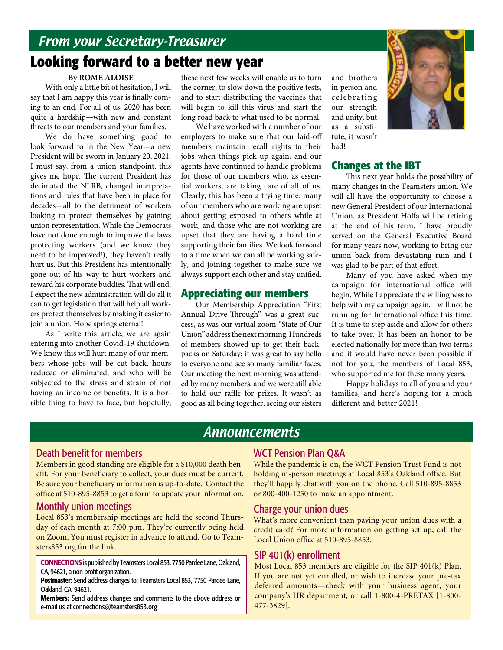# From your Secretary-Treasurer

## **Looking forward to a better new year**

### **By ROME ALOISE**

With only a little bit of hesitation, I will say that I am happy this year is finally coming to an end. For all of us, 2020 has been quite a hardship—with new and constant threats to our members and your families.

We do have something good to look forward to in the New Year—a new President will be sworn in January 20, 2021. I must say, from a union standpoint, this gives me hope. The current President has decimated the NLRB, changed interpretations and rules that have been in place for decades—all to the detriment of workers looking to protect themselves by gaining union representation. While the Democrats have not done enough to improve the laws protecting workers (and we know they need to be improved!), they haven't really hurt us. But this President has intentionally gone out of his way to hurt workers and reward his corporate buddies. That will end. I expect the new administration will do all it can to get legislation that will help all workers protect themselves by making it easier to join a union. Hope springs eternal!

As I write this article, we are again entering into another Covid-19 shutdown. We know this will hurt many of our members whose jobs will be cut back, hours reduced or eliminated, and who will be subjected to the stress and strain of not having an income or benefits. It is a horrible thing to have to face, but hopefully,

these next few weeks will enable us to turn the corner, to slow down the positive tests, and to start distributing the vaccines that will begin to kill this virus and start the long road back to what used to be normal.

We have worked with a number of our employers to make sure that our laid-off members maintain recall rights to their jobs when things pick up again, and our agents have continued to handle problems for those of our members who, as essential workers, are taking care of all of us. Clearly, this has been a trying time: many of our members who are working are upset about getting exposed to others while at work, and those who are not working are upset that they are having a hard time supporting their families. We look forward to a time when we can all be working safely, and joining together to make sure we always support each other and stay unified.

### **Appreciating our members**

Our Membership Appreciation "First Annual Drive-Through" was a great success, as was our virtual zoom "State of Our Union" address the next morning. Hundreds of members showed up to get their backpacks on Saturday; it was great to say hello to everyone and see so many familiar faces. Our meeting the next morning was attended by many members, and we were still able to hold our raffle for prizes. It wasn't as good as all being together, seeing our sisters

and brothers in person and celebrating our strength and unity, but as a substitute, it wasn't bad!



### **Changes at the IBT**

This next year holds the possibility of many changes in the Teamsters union. We will all have the opportunity to choose a new General President of our International Union, as President Hoffa will be retiring at the end of his term. I have proudly served on the General Executive Board for many years now, working to bring our union back from devastating ruin and I was glad to be part of that effort.

Many of you have asked when my campaign for international office will begin. While I appreciate the willingness to help with my campaign again, I will not be running for International office this time. It is time to step aside and allow for others to take over. It has been an honor to be elected nationally for more than two terms and it would have never been possible if not for you, the members of Local 853, who supported me for these many years.

Happy holidays to all of you and your families, and here's hoping for a much different and better 2021!

### Announcements

### Death benefit for members

Members in good standing are eligible for a \$10,000 death benefit. For your beneficiary to collect, your dues must be current. Be sure your beneficiary information is up-to-date. Contact the office at 510-895-8853 to get a form to update your information.

### Monthly union meetings

Local 853's membership meetings are held the second Thursday of each month at 7:00 p.m. They're currently being held on Zoom. You must register in advance to attend. Go to Teamsters853.org for the link.

CONNECTIONS is published by Teamsters Local 853, 7750 Pardee Lane, Oakland, CA, 94621, a non-profit organization.

Postmaster: Send address changes to: Teamsters Local 853, 7750 Pardee Lane, Oakland, CA 94621.

Members: Send address changes and comments to the above address or e-mail us at connections@teamsters853.org

### WCT Pension Plan Q&A

While the pandemic is on, the WCT Pension Trust Fund is not holding in-person meetings at Local 853's Oakland office. But they'll happily chat with you on the phone. Call 510-895-8853 or 800-400-1250 to make an appointment.

### Charge your union dues

What's more convenient than paying your union dues with a credit card? For more information on getting set up, call the Local Union office at 510-895-8853.

### SIP 401(k) enrollment

Most Local 853 members are eligible for the SIP 401(k) Plan. If you are not yet enrolled, or wish to increase your pre-tax deferred amounts—check with your business agent, your company's HR department, or call 1-800-4-PRETAX [1-800- 477-3829].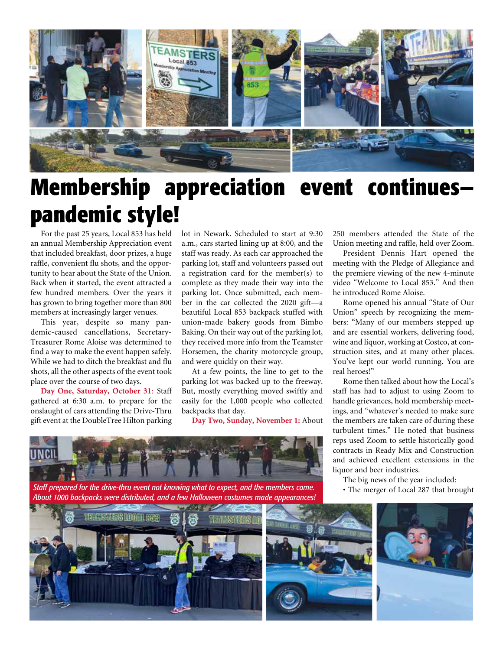

# **Membership appreciation event continues pandemic style!**

For the past 25 years, Local 853 has held an annual Membership Appreciation event that included breakfast, door prizes, a huge raffle, convenient flu shots, and the opportunity to hear about the State of the Union. Back when it started, the event attracted a few hundred members. Over the years it has grown to bring together more than 800 members at increasingly larger venues.

This year, despite so many pandemic-caused cancellations, Secretary-Treasurer Rome Aloise was determined to find a way to make the event happen safely. While we had to ditch the breakfast and flu shots, all the other aspects of the event took place over the course of two days.

**Day One, Saturday, October 31**: Staff gathered at 6:30 a.m. to prepare for the onslaught of cars attending the Drive-Thru gift event at the DoubleTree Hilton parking

lot in Newark. Scheduled to start at 9:30 a.m., cars started lining up at 8:00, and the staff was ready. As each car approached the parking lot, staff and volunteers passed out a registration card for the member(s) to complete as they made their way into the parking lot. Once submitted, each member in the car collected the 2020 gift—a beautiful Local 853 backpack stuffed with union-made bakery goods from Bimbo Baking. On their way out of the parking lot, they received more info from the Teamster Horsemen, the charity motorcycle group, and were quickly on their way.

At a few points, the line to get to the parking lot was backed up to the freeway. But, mostly everything moved swiftly and easily for the 1,000 people who collected backpacks that day.

**Day Two, Sunday, November 1:** About



The big news of the year included:<br>**Staff prepared for the drive-thru event not knowing what to expect, and the members came.**<br>About 1000 backpacks were distributed, and a few Halloween costumes made appearances!

250 members attended the State of the Union meeting and raffle, held over Zoom.

President Dennis Hart opened the meeting with the Pledge of Allegiance and the premiere viewing of the new 4-minute video "Welcome to Local 853." And then he introduced Rome Aloise.

Rome opened his annual "State of Our Union" speech by recognizing the members: "Many of our members stepped up and are essential workers, delivering food, wine and liquor, working at Costco, at construction sites, and at many other places. You've kept our world running. You are real heroes!"

Rome then talked about how the Local's staff has had to adjust to using Zoom to handle grievances, hold membership meetings, and "whatever's needed to make sure the members are taken care of during these turbulent times." He noted that business reps used Zoom to settle historically good contracts in Ready Mix and Construction and achieved excellent extensions in the liquor and beer industries.

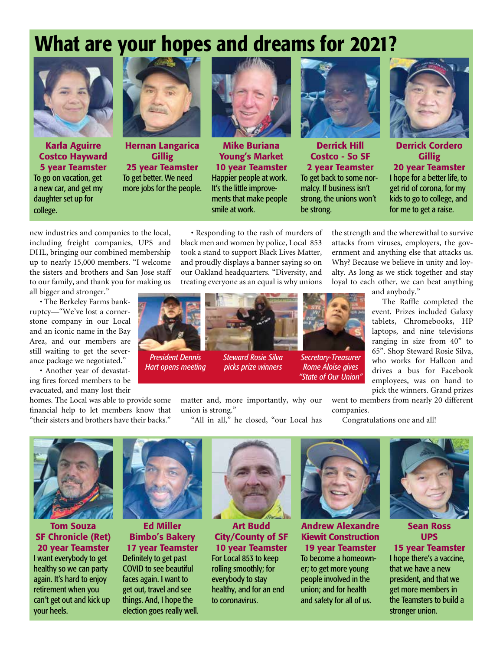# What are your hopes and dreams for 2021?



Karla Aguirre Costco Hayward 5 year Teamster To go on vacation, get a new car, and get my daughter set up for college.



Hernan Langarica **Gillig** 25 year Teamster To get better. We need more jobs for the people.



Mike Buriana Young's Market 10 year Teamster Happier people at work. It's the little improvements that make people smile at work.



Derrick Hill Costco - So SF 2 year Teamster To get back to some normalcy. If business isn't strong, the unions won't be strong.



Derrick Cordero **Gillig** 

20 year Teamster I hope for a better life, to get rid of corona, for my kids to go to college, and for me to get a raise.

new industries and companies to the local, including freight companies, UPS and DHL, bringing our combined membership up to nearly 15,000 members. "I welcome the sisters and brothers and San Jose staff to our family, and thank you for making us

all bigger and stronger."

• The Berkeley Farms bankruptcy—"We've lost a cornerstone company in our Local and an iconic name in the Bay Area, and our members are still waiting to get the severance package we negotiated."

• Another year of devastating fires forced members to be evacuated, and many lost their

homes. The Local was able to provide some financial help to let members know that "their sisters and brothers have their backs."

• Responding to the rash of murders of black men and women by police, Local 853 took a stand to support Black Lives Matter, and proudly displays a banner saying so on our Oakland headquarters. "Diversity, and treating everyone as an equal is why unions



*Steward Rosie Silva picks prize winners*



*Secretary-Treasurer Rome Aloise gives "State of Our Union"*

matter and, more importantly, why our union is strong."

"All in all," he closed, "our Local has

the strength and the wherewithal to survive attacks from viruses, employers, the government and anything else that attacks us. Why? Because we believe in unity and loyalty. As long as we stick together and stay loyal to each other, we can beat anything

and anybody."

The Raffle completed the event. Prizes included Galaxy tablets, Chromebooks, HP laptops, and nine televisions ranging in size from 40" to 65". Shop Steward Rosie Silva, who works for Hallcon and drives a bus for Facebook employees, was on hand to pick the winners. Grand prizes

went to members from nearly 20 different companies.

Congratulations one and all!



Tom Souza SF Chronicle (Ret) 20 year Teamster I want everybody to get healthy so we can party again. It's hard to enjoy retirement when you can't get out and kick up your heels.



*President Dennis Hart opens meeting*

Ed Miller Bimbo's Bakery 17 year Teamster

Definitely to get past COVID to see beautiful faces again. I want to get out, travel and see things. And, I hope the election goes really well.



Art Budd City/County of SF 10 year Teamster For Local 853 to keep

rolling smoothly; for everybody to stay healthy, and for an end to coronavirus.



Andrew Alexandre Kiewit Construction 19 year Teamster

To become a homeowner; to get more young people involved in the union; and for health and safety for all of us.



Sean Ross UPS 15 year Teamster

I hope there's a vaccine, that we have a new president, and that we get more members in the Teamsters to build a stronger union.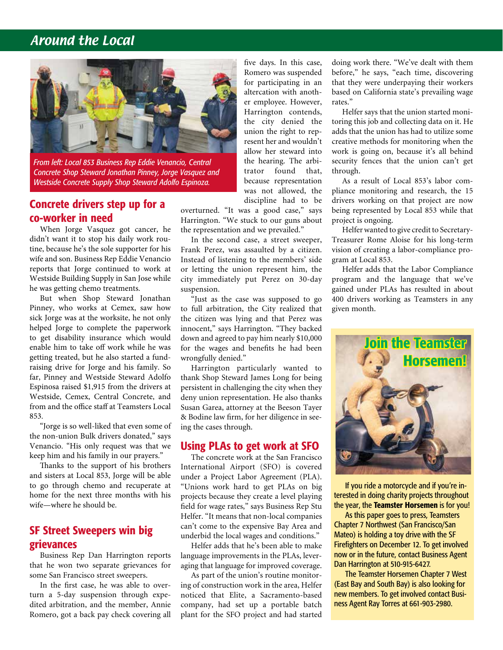### Around the Local



*From left: Local 853 Business Rep Eddie Venancio, Central Concrete Shop Steward Jonathan Pinney, Jorge Vasquez and Westside Concrete Supply Shop Steward Adolfo Espinoza.*

### Concrete drivers step up for a co-worker in need

When Jorge Vasquez got cancer, he didn't want it to stop his daily work routine, because he's the sole supporter for his wife and son. Business Rep Eddie Venancio reports that Jorge continued to work at Westside Building Supply in San Jose while he was getting chemo treatments.

But when Shop Steward Jonathan Pinney, who works at Cemex, saw how sick Jorge was at the worksite, he not only helped Jorge to complete the paperwork to get disability insurance which would enable him to take off work while he was getting treated, but he also started a fundraising drive for Jorge and his family. So far, Pinney and Westside Steward Adolfo Espinosa raised \$1,915 from the drivers at Westside, Cemex, Central Concrete, and from and the office staff at Teamsters Local 853.

"Jorge is so well-liked that even some of the non-union Bulk drivers donated," says Venancio. "His only request was that we keep him and his family in our prayers."

Thanks to the support of his brothers and sisters at Local 853, Jorge will be able to go through chemo and recuperate at home for the next three months with his wife—where he should be.

### SF Street Sweepers win big grievances

Business Rep Dan Harrington reports that he won two separate grievances for some San Francisco street sweepers.

In the first case, he was able to overturn a 5-day suspension through expedited arbitration, and the member, Annie Romero, got a back pay check covering all

five days. In this case, Romero was suspended for participating in an altercation with another employee. However, Harrington contends, the city denied the union the right to represent her and wouldn't allow her steward into the hearing. The arbitrator found that, because representation was not allowed, the discipline had to be

overturned. "It was a good case," says Harrington. "We stuck to our guns about the representation and we prevailed."

In the second case, a street sweeper, Frank Perez, was assaulted by a citizen. Instead of listening to the members' side or letting the union represent him, the city immediately put Perez on 30-day suspension.

"Just as the case was supposed to go to full arbitration, the City realized that the citizen was lying and that Perez was innocent," says Harrington. "They backed down and agreed to pay him nearly \$10,000 for the wages and benefits he had been wrongfully denied."

Harrington particularly wanted to thank Shop Steward James Long for being persistent in challenging the city when they deny union representation. He also thanks Susan Garea, attorney at the Beeson Tayer & Bodine law firm, for her diligence in seeing the cases through.

#### Using PLAs to get work at SFO

The concrete work at the San Francisco International Airport (SFO) is covered under a Project Labor Agreement (PLA). "Unions work hard to get PLAs on big projects because they create a level playing field for wage rates," says Business Rep Stu Helfer. "It means that non-local companies can't come to the expensive Bay Area and underbid the local wages and conditions."

Helfer adds that he's been able to make language improvements in the PLAs, leveraging that language for improved coverage.

As part of the union's routine monitoring of construction work in the area, Helfer noticed that Elite, a Sacramento-based company, had set up a portable batch plant for the SFO project and had started doing work there. "We've dealt with them before," he says, "each time, discovering that they were underpaying their workers based on California state's prevailing wage rates."

Helfer says that the union started monitoring this job and collecting data on it. He adds that the union has had to utilize some creative methods for monitoring when the work is going on, because it's all behind security fences that the union can't get through.

As a result of Local 853's labor compliance monitoring and research, the 15 drivers working on that project are now being represented by Local 853 while that project is ongoing.

Helfer wanted to give credit to Secretary-Treasurer Rome Aloise for his long-term vision of creating a labor-compliance program at Local 853.

Helfer adds that the Labor Compliance program and the language that we've gained under PLAs has resulted in about 400 drivers working as Teamsters in any given month.



If you ride a motorcycle and if you're interested in doing charity projects throughout the year, the Teamster Horsemen is for you!

As this paper goes to press, Teamsters Chapter 7 Northwest (San Francisco/San Mateo) is holding a toy drive with the SF Firefighters on December 12. To get involved now or in the future, contact Business Agent Dan Harrington at 510-915-6427.

The Teamster Horsemen Chapter 7 West (East Bay and South Bay) is also looking for new members. To get involved contact Business Agent Ray Torres at 661-903-2980.